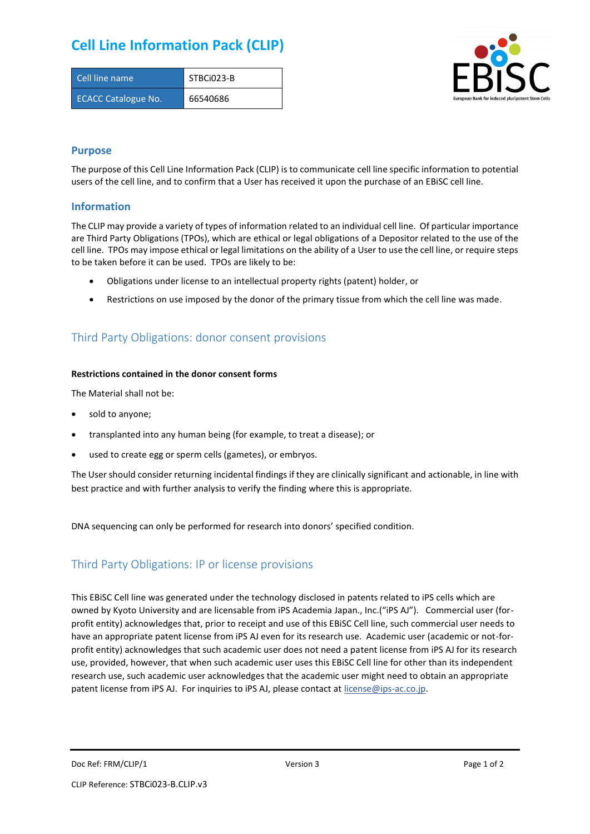## **Cell Line Information Pack (CLIP)**

| Cell line name             | STBCi023-B |
|----------------------------|------------|
| <b>ECACC Catalogue No.</b> | 66540686   |



### **Purpose**

The purpose of this Cell Line Information Pack (CLIP) is to communicate cell line specific information to potential users of the cell line, and to confirm that a User has received it upon the purchase of an EBiSC cell line.

### **Information**

The CLIP may provide a variety of types of information related to an individual cell line. Of particular importance are Third Party Obligations (TPOs), which are ethical or legal obligations of a Depositor related to the use of the cell line. TPOs may impose ethical or legal limitations on the ability of a User to use the cell line, or require steps to be taken before it can be used. TPOs are likely to be:

- Obligations under license to an intellectual property rights (patent) holder, or
- Restrictions on use imposed by the donor of the primary tissue from which the cell line was made.

## Third Party Obligations: donor consent provisions

#### **Restrictions contained in the donor consent forms**

The Material shall not be:

- sold to anyone;
- transplanted into any human being (for example, to treat a disease); or
- used to create egg or sperm cells (gametes), or embryos.

The User should consider returning incidental findings if they are clinically significant and actionable, in line with best practice and with further analysis to verify the finding where this is appropriate.

DNA sequencing can only be performed for research into donors' specified condition.

## Third Party Obligations: IP or license provisions

This EBiSC Cell line was generated under the technology disclosed in patents related to iPS cells which are owned by Kyoto University and are licensable from iPS Academia Japan., Inc.("iPS AJ"). Commercial user (forprofit entity) acknowledges that, prior to receipt and use of this EBiSC Cell line, such commercial user needs to have an appropriate patent license from iPS AJ even for its research use. Academic user (academic or not-forprofit entity) acknowledges that such academic user does not need a patent license from iPS AJ for its research use, provided, however, that when such academic user uses this EBiSC Cell line for other than its independent research use, such academic user acknowledges that the academic user might need to obtain an appropriate patent license from iPS AJ. For inquiries to iPS AJ, please contact at [license@ips-ac.co.jp.](mailto:license@ips-ac.co.jp)

Doc Ref: FRM/CLIP/1 **Doces 2** Page 1 of 2 Page 1 of 2